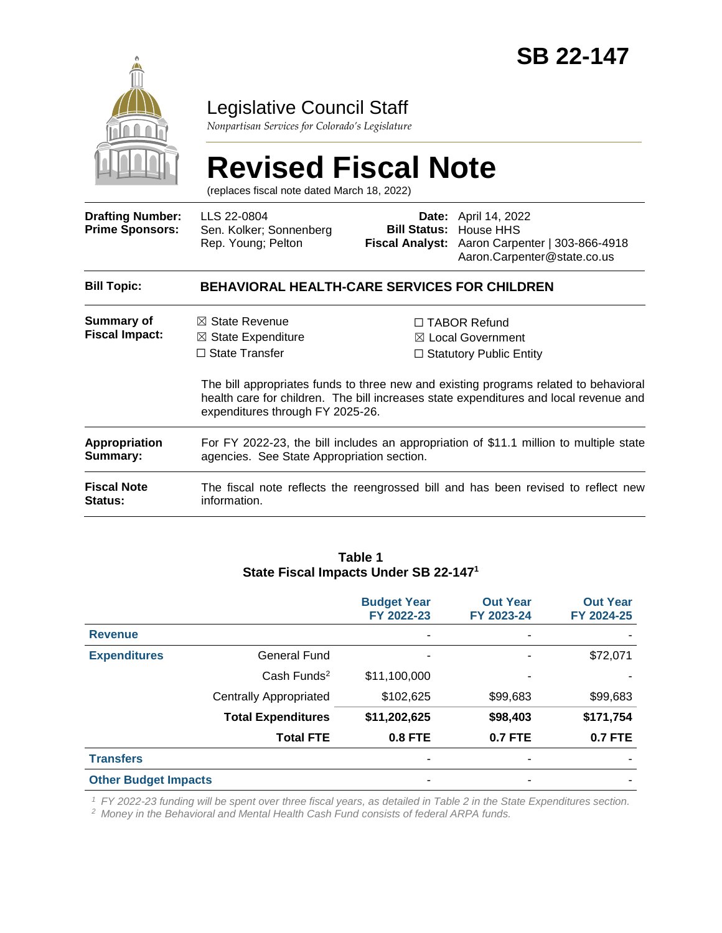

## Legislative Council Staff

*Nonpartisan Services for Colorado's Legislature*

# **Revised Fiscal Note**

(replaces fiscal note dated March 18, 2022)

| <b>Drafting Number:</b><br><b>Prime Sponsors:</b> | LLS 22-0804<br>Sen. Kolker; Sonnenberg<br>Rep. Young; Pelton                                                                                                                                                      |  | <b>Date:</b> April 14, 2022<br><b>Bill Status: House HHS</b><br>Fiscal Analyst: Aaron Carpenter   303-866-4918<br>Aaron.Carpenter@state.co.us |  |  |
|---------------------------------------------------|-------------------------------------------------------------------------------------------------------------------------------------------------------------------------------------------------------------------|--|-----------------------------------------------------------------------------------------------------------------------------------------------|--|--|
| <b>Bill Topic:</b>                                | <b>BEHAVIORAL HEALTH-CARE SERVICES FOR CHILDREN</b>                                                                                                                                                               |  |                                                                                                                                               |  |  |
| Summary of<br><b>Fiscal Impact:</b>               | $\boxtimes$ State Revenue<br>$\boxtimes$ State Expenditure<br>$\Box$ State Transfer                                                                                                                               |  | $\Box$ TABOR Refund<br>$\boxtimes$ Local Government<br>$\Box$ Statutory Public Entity                                                         |  |  |
|                                                   | The bill appropriates funds to three new and existing programs related to behavioral<br>health care for children. The bill increases state expenditures and local revenue and<br>expenditures through FY 2025-26. |  |                                                                                                                                               |  |  |
| <b>Appropriation</b><br>Summary:                  | For FY 2022-23, the bill includes an appropriation of \$11.1 million to multiple state<br>agencies. See State Appropriation section.                                                                              |  |                                                                                                                                               |  |  |
| <b>Fiscal Note</b><br><b>Status:</b>              | The fiscal note reflects the reengrossed bill and has been revised to reflect new<br>information.                                                                                                                 |  |                                                                                                                                               |  |  |

#### **Table 1 State Fiscal Impacts Under SB 22-147<sup>1</sup>**

|                             |                               | <b>Budget Year</b><br>FY 2022-23 | <b>Out Year</b><br>FY 2023-24 | <b>Out Year</b><br>FY 2024-25 |
|-----------------------------|-------------------------------|----------------------------------|-------------------------------|-------------------------------|
| <b>Revenue</b>              |                               | ٠                                |                               |                               |
| <b>Expenditures</b>         | <b>General Fund</b>           | ۰                                |                               | \$72,071                      |
|                             | $Cash$ Funds <sup>2</sup>     | \$11,100,000                     |                               |                               |
|                             | <b>Centrally Appropriated</b> | \$102,625                        | \$99,683                      | \$99,683                      |
|                             | <b>Total Expenditures</b>     | \$11,202,625                     | \$98,403                      | \$171,754                     |
|                             | <b>Total FTE</b>              | <b>0.8 FTE</b>                   | <b>0.7 FTE</b>                | <b>0.7 FTE</b>                |
| <b>Transfers</b>            |                               | ٠                                |                               |                               |
| <b>Other Budget Impacts</b> |                               | ۰                                |                               |                               |

*<sup>1</sup> FY 2022-23 funding will be spent over three fiscal years, as detailed in Table 2 in the State Expenditures section.*

*<sup>2</sup> Money in the Behavioral and Mental Health Cash Fund consists of federal ARPA funds.*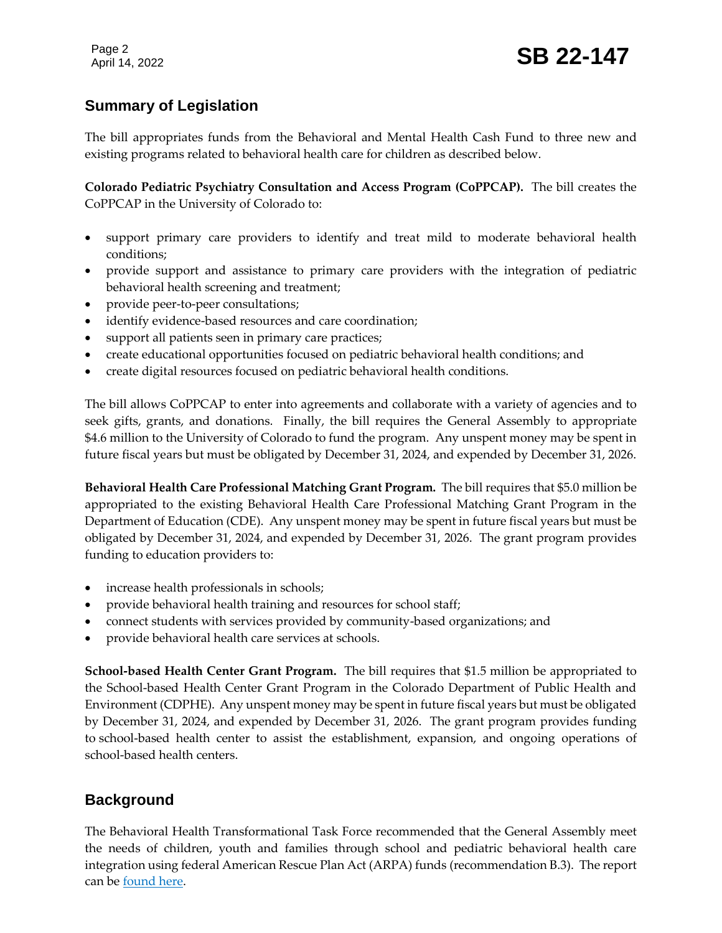### **Summary of Legislation**

The bill appropriates funds from the Behavioral and Mental Health Cash Fund to three new and existing programs related to behavioral health care for children as described below.

**Colorado Pediatric Psychiatry Consultation and Access Program (CoPPCAP).** The bill creates the CoPPCAP in the University of Colorado to:

- support primary care providers to identify and treat mild to moderate behavioral health conditions;
- provide support and assistance to primary care providers with the integration of pediatric behavioral health screening and treatment;
- provide peer-to-peer consultations;
- identify evidence-based resources and care coordination;
- support all patients seen in primary care practices;
- create educational opportunities focused on pediatric behavioral health conditions; and
- create digital resources focused on pediatric behavioral health conditions.

The bill allows CoPPCAP to enter into agreements and collaborate with a variety of agencies and to seek gifts, grants, and donations. Finally, the bill requires the General Assembly to appropriate \$4.6 million to the University of Colorado to fund the program. Any unspent money may be spent in future fiscal years but must be obligated by December 31, 2024, and expended by December 31, 2026.

**Behavioral Health Care Professional Matching Grant Program.** The bill requires that \$5.0 million be appropriated to the existing Behavioral Health Care Professional Matching Grant Program in the Department of Education (CDE). Any unspent money may be spent in future fiscal years but must be obligated by December 31, 2024, and expended by December 31, 2026. The grant program provides funding to education providers to:

- increase health professionals in schools;
- provide behavioral health training and resources for school staff;
- connect students with services provided by community-based organizations; and
- provide behavioral health care services at schools.

**School-based Health Center Grant Program.** The bill requires that \$1.5 million be appropriated to the School-based Health Center Grant Program in the Colorado Department of Public Health and Environment (CDPHE). Any unspent money may be spent in future fiscal years but must be obligated by December 31, 2024, and expended by December 31, 2026. The grant program provides funding to school-based health center to assist the establishment, expansion, and ongoing operations of school-based health centers.

### **Background**

The Behavioral Health Transformational Task Force recommended that the General Assembly meet the needs of children, youth and families through school and pediatric behavioral health care integration using federal American Rescue Plan Act (ARPA) funds (recommendation B.3). The report can be [found here.](https://leg.colorado.gov/sites/default/files/images/committees/2017/bhttf_final_report.pdf)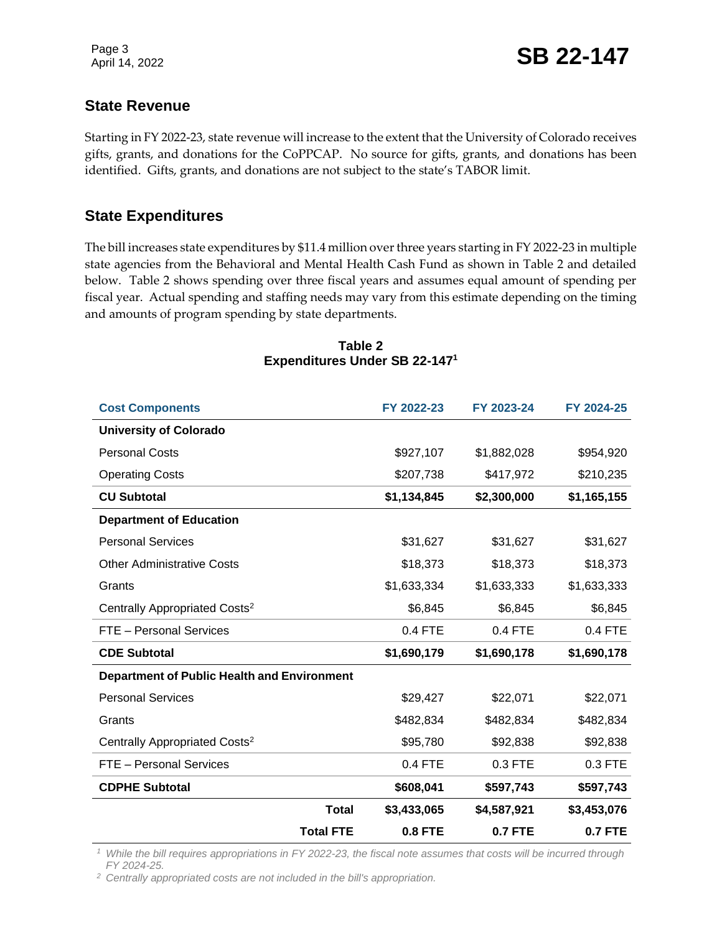### **State Revenue**

Starting in FY 2022-23, state revenue will increase to the extent that the University of Colorado receives gifts, grants, and donations for the CoPPCAP. No source for gifts, grants, and donations has been identified. Gifts, grants, and donations are not subject to the state's TABOR limit.

### **State Expenditures**

The bill increases state expenditures by \$11.4 million over three years starting in FY 2022-23 in multiple state agencies from the Behavioral and Mental Health Cash Fund as shown in Table 2 and detailed below. Table 2 shows spending over three fiscal years and assumes equal amount of spending per fiscal year. Actual spending and staffing needs may vary from this estimate depending on the timing and amounts of program spending by state departments.

### **Cost Components FY 2022-23 FY 2023-24 FY 2024-25 University of Colorado** Personal Costs \$927,107 \$1,882,028 \$954,920 Operating Costs **6207,738** \$417,972 \$210,235 **CU Subtotal \$1,134,845 \$2,300,000 \$1,165,155 Department of Education** Personal Services **531,627** \$31,627 \$31,627 \$31,627 Other Administrative Costs **\$18,373** \$18,373 \$18,373 Grants \$1,633,334 \$1,633,333 \$1,633,333 Centrally Appropriated Costs<sup>2</sup> 56,845 \$6,845 \$6,845 \$6,845 FTE – Personal Services 0.4 FTE 0.4 FTE 0.4 FTE **CDE Subtotal \$1,690,179 \$1,690,178 \$1,690,178 Department of Public Health and Environment**  Personal Services **\$29,427** \$22,071 \$22,071 Grants \$482,834 \$482,834 \$482,834 Centrally Appropriated Costs<sup>2</sup> 595,780 \$92,838 \$92,838 FTE – Personal Services 0.4 FTE 0.3 FTE 0.3 FTE **CDPHE Subtotal \$608,041 \$597,743 \$597,743 Total \$3,433,065 \$4,587,921 \$3,453,076 Total FTE 0.8 FTE 0.7 FTE 0.7 FTE**

**Table 2 Expenditures Under SB 22-147<sup>1</sup>**

*<sup>1</sup> While the bill requires appropriations in FY 2022-23, the fiscal note assumes that costs will be incurred through FY 2024-25.*

*<sup>2</sup> Centrally appropriated costs are not included in the bill's appropriation.*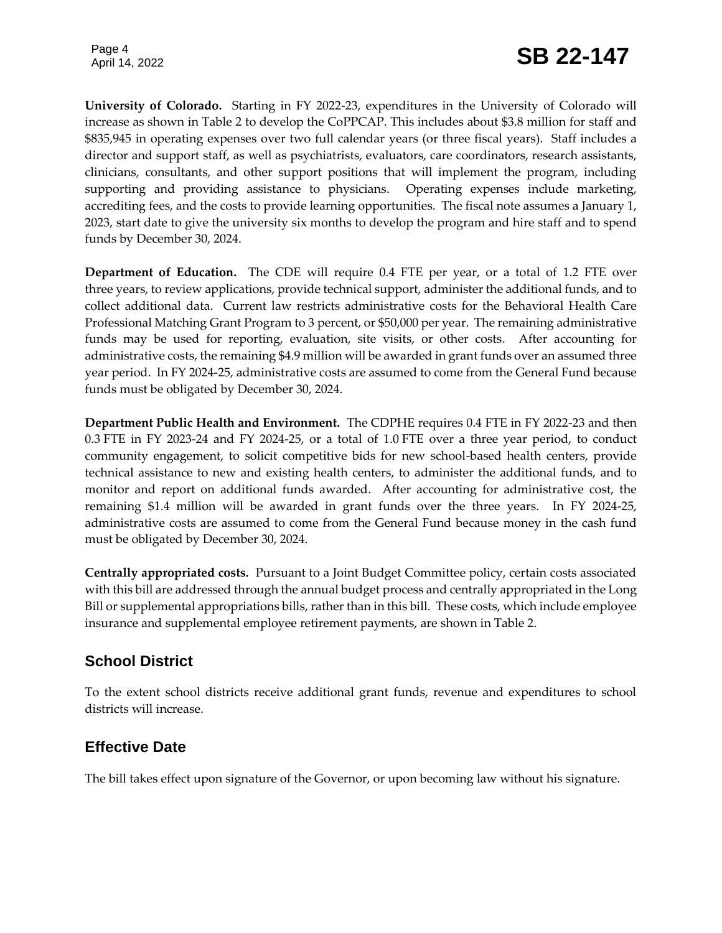Page 4

**University of Colorado.** Starting in FY 2022-23, expenditures in the University of Colorado will increase as shown in Table 2 to develop the CoPPCAP. This includes about \$3.8 million for staff and \$835,945 in operating expenses over two full calendar years (or three fiscal years). Staff includes a director and support staff, as well as psychiatrists, evaluators, care coordinators, research assistants, clinicians, consultants, and other support positions that will implement the program, including supporting and providing assistance to physicians. Operating expenses include marketing, accrediting fees, and the costs to provide learning opportunities. The fiscal note assumes a January 1, 2023, start date to give the university six months to develop the program and hire staff and to spend funds by December 30, 2024.

**Department of Education.** The CDE will require 0.4 FTE per year, or a total of 1.2 FTE over three years, to review applications, provide technical support, administer the additional funds, and to collect additional data. Current law restricts administrative costs for the Behavioral Health Care Professional Matching Grant Program to 3 percent, or \$50,000 per year. The remaining administrative funds may be used for reporting, evaluation, site visits, or other costs. After accounting for administrative costs, the remaining \$4.9 million will be awarded in grant funds over an assumed three year period. In FY 2024-25, administrative costs are assumed to come from the General Fund because funds must be obligated by December 30, 2024.

**Department Public Health and Environment.** The CDPHE requires 0.4 FTE in FY 2022-23 and then 0.3 FTE in FY 2023-24 and FY 2024-25, or a total of 1.0 FTE over a three year period, to conduct community engagement, to solicit competitive bids for new school-based health centers, provide technical assistance to new and existing health centers, to administer the additional funds, and to monitor and report on additional funds awarded. After accounting for administrative cost, the remaining \$1.4 million will be awarded in grant funds over the three years. In FY 2024-25, administrative costs are assumed to come from the General Fund because money in the cash fund must be obligated by December 30, 2024.

**Centrally appropriated costs.** Pursuant to a Joint Budget Committee policy, certain costs associated with this bill are addressed through the annual budget process and centrally appropriated in the Long Bill or supplemental appropriations bills, rather than in this bill. These costs, which include employee insurance and supplemental employee retirement payments, are shown in Table 2.

### **School District**

To the extent school districts receive additional grant funds, revenue and expenditures to school districts will increase.

### **Effective Date**

The bill takes effect upon signature of the Governor, or upon becoming law without his signature.